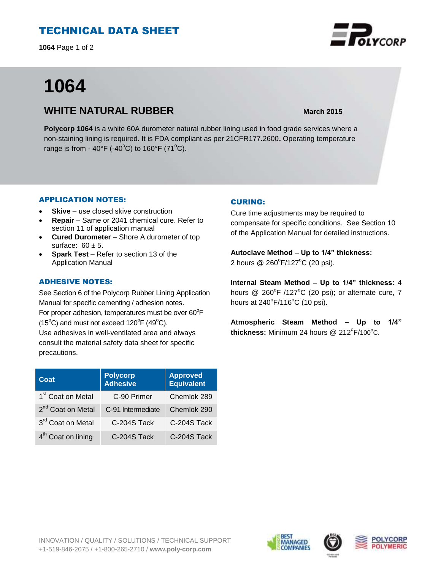## TECHNICAL DATA SHEET

**1064** Page 1 of 2

# **1064**

### **WHITE NATURAL RUBBER March** 2015

**Polycorp 1064** is a white 60A durometer natural rubber lining used in food grade services where a non-staining lining is required. It is FDA compliant as per 21CFR177.2600**.** Operating temperature range is from - 40°F (-40°C) to 160°F (71°C).

#### APPLICATION NOTES:

- **Skive** use closed skive construction
- **Repair**  Same or 2041 chemical cure. Refer to section 11 of application manual
- **Cured Durometer** Shore A durometer of top surface:  $60 \pm 5$ .
- **Spark Test**  Refer to section 13 of the Application Manual

#### ADHESIVE NOTES:

See Section 6 of the Polycorp Rubber Lining Application Manual for specific cementing / adhesion notes. For proper adhesion, temperatures must be over  $60^{\circ}$ F  $(15^{\circ}C)$  and must not exceed  $120^{\circ}F(49^{\circ}C)$ . Use adhesives in well-ventilated area and always consult the material safety data sheet for specific precautions.

| Coat                           | <b>Polycorp</b><br><b>Adhesive</b> | <b>Approved</b><br><b>Equivalent</b> |
|--------------------------------|------------------------------------|--------------------------------------|
| 1 <sup>st</sup> Coat on Metal  | C-90 Primer                        | Chemlok 289                          |
| 2 <sup>nd</sup> Coat on Metal  | C-91 Intermediate                  | Chemlok 290                          |
| 3rd Coat on Metal              | C-204S Tack                        | C-204S Tack                          |
| 4 <sup>th</sup> Coat on lining | C-204S Tack                        | C-204S Tack                          |

#### CURING:

Cure time adjustments may be required to compensate for specific conditions. See Section 10 of the Application Manual for detailed instructions.

**Autoclave Method – Up to 1/4" thickness:** 2 hours @ 260°F/127°C (20 psi).

**Internal Steam Method – Up to 1/4" thickness:** 4 hours  $@$  260°F /127°C (20 psi); or alternate cure, 7 hours at  $240^{\circ}$ F/116 $^{\circ}$ C (10 psi).

**Atmospheric Steam Method – Up to 1/4"** thickness: Minimum 24 hours @ 212<sup>°</sup>F/100<sup>°</sup>C.